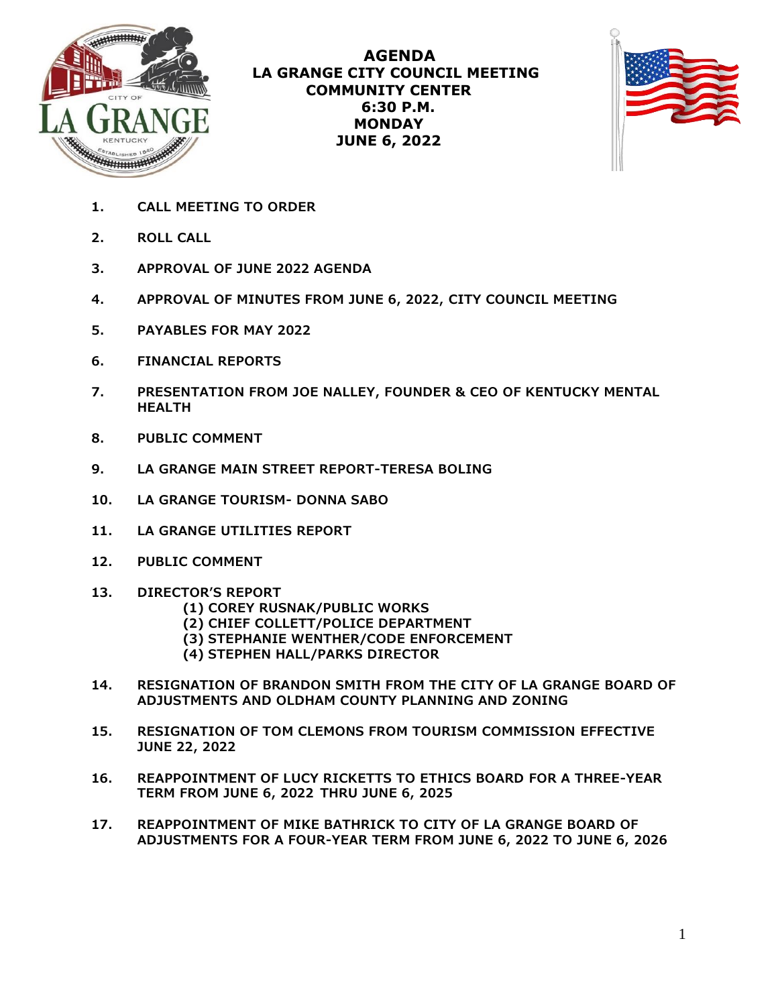

**AGENDA LA GRANGE CITY COUNCIL MEETING COMMUNITY CENTER 6:30 P.M. MONDAY JUNE 6, 2022**



- **1. CALL MEETING TO ORDER**
- **2. ROLL CALL**
- **3. APPROVAL OF JUNE 2022 AGENDA**
- **4. APPROVAL OF MINUTES FROM JUNE 6, 2022, CITY COUNCIL MEETING**
- **5. PAYABLES FOR MAY 2022**
- **6. FINANCIAL REPORTS**
- **7. PRESENTATION FROM JOE NALLEY, FOUNDER & CEO OF KENTUCKY MENTAL HEALTH**
- **8. PUBLIC COMMENT**
- **9. LA GRANGE MAIN STREET REPORT-TERESA BOLING**
- **10. LA GRANGE TOURISM- DONNA SABO**
- **11. LA GRANGE UTILITIES REPORT**
- **12. PUBLIC COMMENT**
- **13. DIRECTOR'S REPORT**
	- **(1) COREY RUSNAK/PUBLIC WORKS**
	- **(2) CHIEF COLLETT/POLICE DEPARTMENT**
	- **(3) STEPHANIE WENTHER/CODE ENFORCEMENT**
	- **(4) STEPHEN HALL/PARKS DIRECTOR**
- **14. RESIGNATION OF BRANDON SMITH FROM THE CITY OF LA GRANGE BOARD OF ADJUSTMENTS AND OLDHAM COUNTY PLANNING AND ZONING**
- **15. RESIGNATION OF TOM CLEMONS FROM TOURISM COMMISSION EFFECTIVE JUNE 22, 2022**
- **16. REAPPOINTMENT OF LUCY RICKETTS TO ETHICS BOARD FOR A THREE-YEAR TERM FROM JUNE 6, 2022 THRU JUNE 6, 2025**
- **17. REAPPOINTMENT OF MIKE BATHRICK TO CITY OF LA GRANGE BOARD OF ADJUSTMENTS FOR A FOUR-YEAR TERM FROM JUNE 6, 2022 TO JUNE 6, 2026**